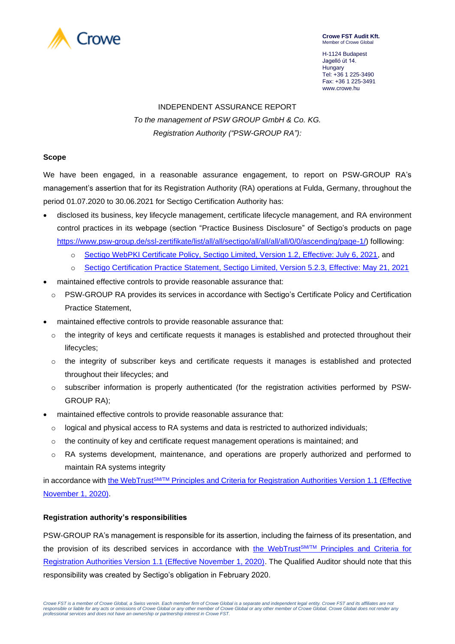

**Crowe FST Audit Kft.** Member of Crowe Glob

H-1124 Budapest Jagelló út 14. Hungary Tel: +36 1 225-3490 Fax: +36 1 225-3491 www.crowe.hu

# INDEPENDENT ASSURANCE REPORT *To the management of PSW GROUP GmbH & Co. KG. Registration Authority ("PSW-GROUP RA"):*

## **Scope**

We have been engaged, in a reasonable assurance engagement, to report on PSW-GROUP RA's management's assertion that for its Registration Authority (RA) operations at Fulda, Germany, throughout the period 01.07.2020 to 30.06.2021 for Sectigo Certification Authority has:

- disclosed its business, key lifecycle management, certificate lifecycle management, and RA environment control practices in its webpage (section "Practice Business Disclosure" of Sectigo's products on page [https://www.psw-group.de/ssl-zertifikate/list/all/all/sectigo/all/all/all/all/0/0/ascending/page-1/\)](https://www.psw-group.de/ssl-zertifikate/list/all/all/sectigo/all/all/all/all/0/0/ascending/page-1/) folllowing:
	- o [Sectigo WebPKI Certificate Policy, Sectigo Limited, Version 1.2, Effective: July 6, 2021,](https://sectigo.com/uploads/files/Sectigo_WebPKI_CP_v1_2.pdf) and
	- o Sectigo Certification Practice Statement, [Sectigo Limited, Version 5.2.3, Effective: May 21, 2021](https://sectigo.com/uploads/files/Sectigo_CPS_v5_2_3.pdf)
- maintained effective controls to provide reasonable assurance that:
	- o PSW-GROUP RA provides its services in accordance with Sectigo's Certificate Policy and Certification Practice Statement,
- maintained effective controls to provide reasonable assurance that:
	- $\circ$  the integrity of keys and certificate requests it manages is established and protected throughout their lifecycles;
	- $\circ$  the integrity of subscriber keys and certificate requests it manages is established and protected throughout their lifecycles; and
	- o subscriber information is properly authenticated (for the registration activities performed by PSW-GROUP RA);
- maintained effective controls to provide reasonable assurance that:
	- $\circ$  logical and physical access to RA systems and data is restricted to authorized individuals;
	- $\circ$  the continuity of key and certificate request management operations is maintained; and
	- o RA systems development, maintenance, and operations are properly authorized and performed to maintain RA systems integrity

in accordance with the WebTrust<sup>SM/TM</sup> [Principles and Criteria for Registration Authorities Version 1.1](https://www.cpacanada.ca/-/media/site/operational/ms-member-services/docs/webtrust/wt148webtrust-for-ra--110120-finalaoda.pdf?la=en&hash=34D210225C03FC6436FA0074585CA60C0A3DCD91) (Effective [November 1, 2020\).](https://www.cpacanada.ca/-/media/site/operational/ms-member-services/docs/webtrust/wt148webtrust-for-ra--110120-finalaoda.pdf?la=en&hash=34D210225C03FC6436FA0074585CA60C0A3DCD91)

## **Registration authority's responsibilities**

PSW-GROUP RA's management is responsible for its assertion, including the fairness of its presentation, and the provision of its described services in accordance with the WebTrust<sup>SM/TM</sup> Principles and Criteria for [Registration Authorities Version 1.1 \(Effective November 1, 2020\).](https://www.cpacanada.ca/-/media/site/operational/ms-member-services/docs/webtrust/wt148webtrust-for-ra--110120-finalaoda.pdf?la=en&hash=34D210225C03FC6436FA0074585CA60C0A3DCD91) The Qualified Auditor should note that this responsibility was created by Sectigo's obligation in February 2020.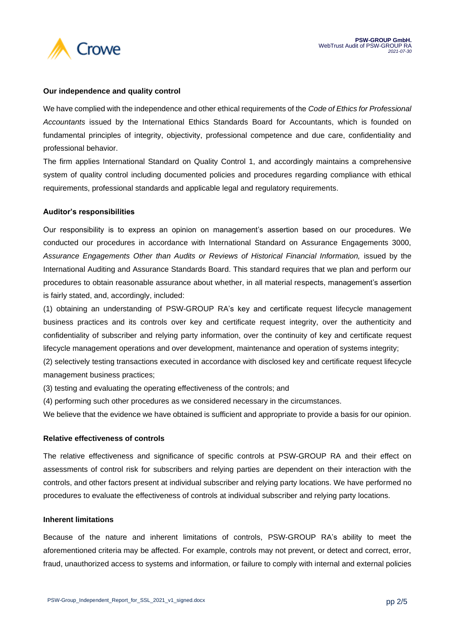

## **Our independence and quality control**

We have complied with the independence and other ethical requirements of the *Code of Ethics for Professional Accountants* issued by the International Ethics Standards Board for Accountants, which is founded on fundamental principles of integrity, objectivity, professional competence and due care, confidentiality and professional behavior.

The firm applies International Standard on Quality Control 1, and accordingly maintains a comprehensive system of quality control including documented policies and procedures regarding compliance with ethical requirements, professional standards and applicable legal and regulatory requirements.

## **Auditor's responsibilities**

Our responsibility is to express an opinion on management's assertion based on our procedures. We conducted our procedures in accordance with International Standard on Assurance Engagements 3000, *Assurance Engagements Other than Audits or Reviews of Historical Financial Information,* issued by the International Auditing and Assurance Standards Board. This standard requires that we plan and perform our procedures to obtain reasonable assurance about whether, in all material respects, management's assertion is fairly stated, and, accordingly, included:

(1) obtaining an understanding of PSW-GROUP RA's key and certificate request lifecycle management business practices and its controls over key and certificate request integrity, over the authenticity and confidentiality of subscriber and relying party information, over the continuity of key and certificate request lifecycle management operations and over development, maintenance and operation of systems integrity;

(2) selectively testing transactions executed in accordance with disclosed key and certificate request lifecycle management business practices;

(3) testing and evaluating the operating effectiveness of the controls; and

(4) performing such other procedures as we considered necessary in the circumstances.

We believe that the evidence we have obtained is sufficient and appropriate to provide a basis for our opinion.

## **Relative effectiveness of controls**

The relative effectiveness and significance of specific controls at PSW-GROUP RA and their effect on assessments of control risk for subscribers and relying parties are dependent on their interaction with the controls, and other factors present at individual subscriber and relying party locations. We have performed no procedures to evaluate the effectiveness of controls at individual subscriber and relying party locations.

## **Inherent limitations**

Because of the nature and inherent limitations of controls, PSW-GROUP RA's ability to meet the aforementioned criteria may be affected. For example, controls may not prevent, or detect and correct, error, fraud, unauthorized access to systems and information, or failure to comply with internal and external policies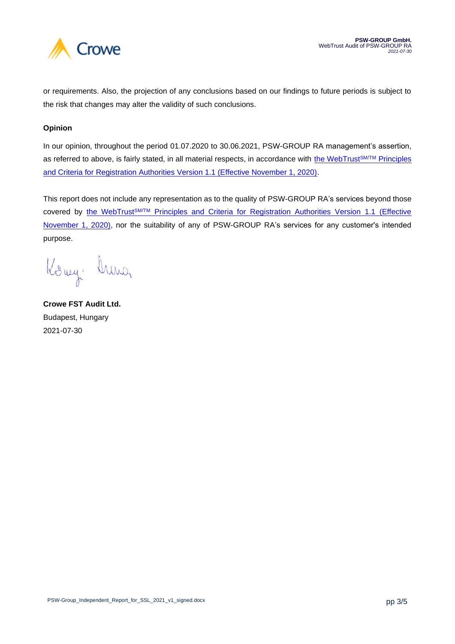

or requirements. Also, the projection of any conclusions based on our findings to future periods is subject to the risk that changes may alter the validity of such conclusions.

## **Opinion**

In our opinion, throughout the period 01.07.2020 to 30.06.2021, PSW-GROUP RA management's assertion, as referred to above, is fairly stated, in all material respects, in accordance with [the WebTrust](https://www.cpacanada.ca/-/media/site/operational/ms-member-services/docs/webtrust/wt148webtrust-for-ra--110120-finalaoda.pdf?la=en&hash=34D210225C03FC6436FA0074585CA60C0A3DCD91)SM/TM Principles [and Criteria for Registration Authorities Version 1.1 \(Effective November 1, 2020\).](https://www.cpacanada.ca/-/media/site/operational/ms-member-services/docs/webtrust/wt148webtrust-for-ra--110120-finalaoda.pdf?la=en&hash=34D210225C03FC6436FA0074585CA60C0A3DCD91)

This report does not include any representation as to the quality of PSW-GROUP RA's services beyond those covered by the WebTrust<sup>SM/TM</sup> Principles and Criteria for Registration Authorities Version 1.1 (Effective [November 1, 2020\),](https://www.cpacanada.ca/-/media/site/operational/ms-member-services/docs/webtrust/wt148webtrust-for-ra--110120-finalaoda.pdf?la=en&hash=34D210225C03FC6436FA0074585CA60C0A3DCD91) nor the suitability of any of PSW-GROUP RA's services for any customer's intended purpose.

Kony hunor

**Crowe FST Audit Ltd.** Budapest, Hungary 2021-07-30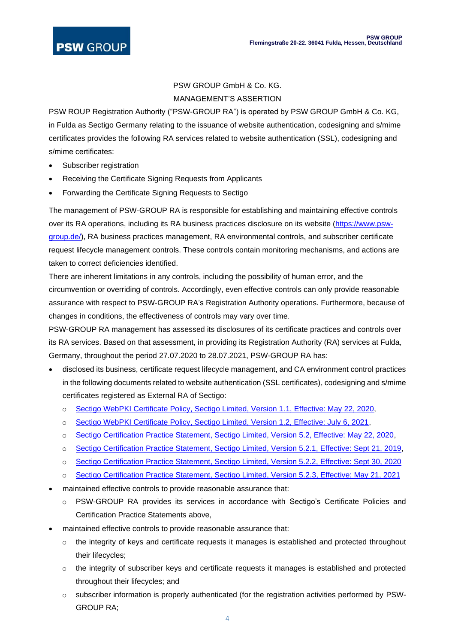# PSW GROUP GmbH & Co. KG. MANAGEMENT'S ASSERTION

PSW ROUP Registration Authority ("PSW-GROUP RA") is operated by PSW GROUP GmbH & Co. KG, in Fulda as Sectigo Germany relating to the issuance of website authentication, codesigning and s/mime certificates provides the following RA services related to website authentication (SSL), codesigning and s/mime certificates:

- Subscriber registration
- Receiving the Certificate Signing Requests from Applicants
- Forwarding the Certificate Signing Requests to Sectigo

The management of PSW-GROUP RA is responsible for establishing and maintaining effective controls over its RA operations, including its RA business practices disclosure on its website [\(https://www.psw](https://www.psw-group.de/)[group.de/\)](https://www.psw-group.de/), RA business practices management, RA environmental controls, and subscriber certificate request lifecycle management controls. These controls contain monitoring mechanisms, and actions are taken to correct deficiencies identified.

There are inherent limitations in any controls, including the possibility of human error, and the circumvention or overriding of controls. Accordingly, even effective controls can only provide reasonable assurance with respect to PSW-GROUP RA's Registration Authority operations. Furthermore, because of changes in conditions, the effectiveness of controls may vary over time.

PSW-GROUP RA management has assessed its disclosures of its certificate practices and controls over its RA services. Based on that assessment, in providing its Registration Authority (RA) services at Fulda, Germany, throughout the period 27.07.2020 to 28.07.2021, PSW-GROUP RA has:

- disclosed its business, certificate request lifecycle management, and CA environment control practices in the following documents related to website authentication (SSL certificates), codesigning and s/mime certificates registered as External RA of Sectigo:
	- o [Sectigo WebPKI Certificate Policy, Sectigo Limited, Version 1.1, Effective: May 22, 2020,](https://sectigo.com/uploads/files/Sectigo-WebPKI-CP-v1.1.pdf)
	- o [Sectigo WebPKI Certificate Policy, Sectigo Limited, Version 1.2, Effective: July 6, 2021,](https://sectigo.com/uploads/files/Sectigo_WebPKI_CP_v1_2.pdf)
	- o [Sectigo Certification Practice Statement, Sectigo Limited, Version 5.2, Effective: May 22, 2020,](https://sectigo.com/uploads/files/Sectigo-CPS-v5.2.pdf)
	- o [Sectigo Certification Practice Statement, Sectigo Limited, Version 5.2.1, Effective: Sept 21, 2019,](https://sectigo.com/uploads/files/Sectigo-CPS-v5_2_1.pdf)
	- o [Sectigo Certification Practice Statement, Sectigo Limited, Version 5.2.2, Effective: Sept 30, 2020](https://sectigo.com/uploads/files/Sectigo-CPS-v5_2_2.pdf)
	- o [Sectigo Certification Practice Statement, Sectigo Limited, Version 5.2.3, Effective: May 21, 2021](https://sectigo.com/uploads/files/Sectigo_CPS_v5_2_3.pdf)
- maintained effective controls to provide reasonable assurance that:
	- o PSW-GROUP RA provides its services in accordance with Sectigo's Certificate Policies and Certification Practice Statements above,
- maintained effective controls to provide reasonable assurance that:
	- o the integrity of keys and certificate requests it manages is established and protected throughout their lifecycles;
	- o the integrity of subscriber keys and certificate requests it manages is established and protected throughout their lifecycles; and
	- o subscriber information is properly authenticated (for the registration activities performed by PSW-GROUP RA;